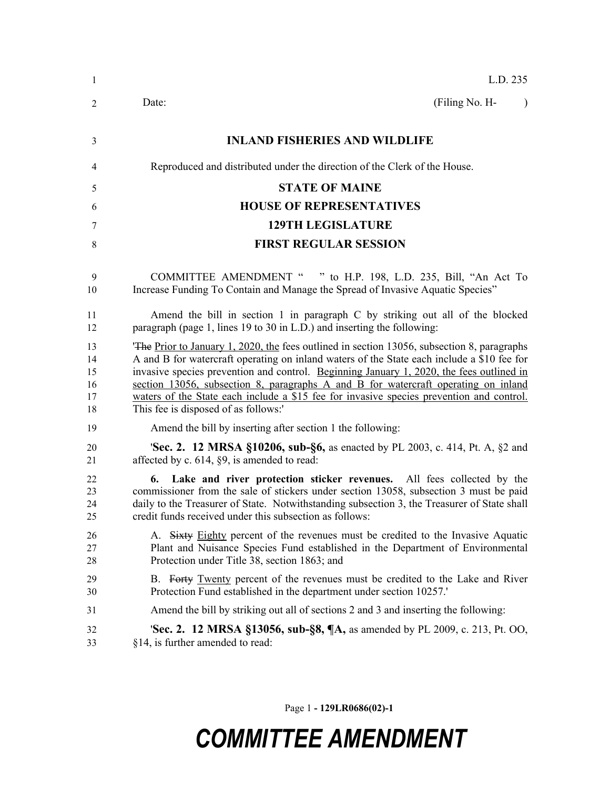| $\mathbf{1}$                     | L.D. 235                                                                                                                                                                                                                                                                                                                                                                                                                                                                                                       |
|----------------------------------|----------------------------------------------------------------------------------------------------------------------------------------------------------------------------------------------------------------------------------------------------------------------------------------------------------------------------------------------------------------------------------------------------------------------------------------------------------------------------------------------------------------|
| 2                                | (Filing No. H-<br>Date:<br>$\lambda$                                                                                                                                                                                                                                                                                                                                                                                                                                                                           |
| 3                                | <b>INLAND FISHERIES AND WILDLIFE</b>                                                                                                                                                                                                                                                                                                                                                                                                                                                                           |
| 4                                | Reproduced and distributed under the direction of the Clerk of the House.                                                                                                                                                                                                                                                                                                                                                                                                                                      |
| 5                                | <b>STATE OF MAINE</b>                                                                                                                                                                                                                                                                                                                                                                                                                                                                                          |
| 6                                | <b>HOUSE OF REPRESENTATIVES</b>                                                                                                                                                                                                                                                                                                                                                                                                                                                                                |
| 7                                | <b>129TH LEGISLATURE</b>                                                                                                                                                                                                                                                                                                                                                                                                                                                                                       |
| $\,$ 8 $\,$                      | <b>FIRST REGULAR SESSION</b>                                                                                                                                                                                                                                                                                                                                                                                                                                                                                   |
| 9<br>10                          | <b>COMMITTEE AMENDMENT "</b><br>" to H.P. 198, L.D. 235, Bill, "An Act To<br>Increase Funding To Contain and Manage the Spread of Invasive Aquatic Species"                                                                                                                                                                                                                                                                                                                                                    |
| 11<br>12                         | Amend the bill in section 1 in paragraph C by striking out all of the blocked<br>paragraph (page 1, lines 19 to 30 in L.D.) and inserting the following:                                                                                                                                                                                                                                                                                                                                                       |
| 13<br>14<br>15<br>16<br>17<br>18 | The Prior to January 1, 2020, the fees outlined in section 13056, subsection 8, paragraphs<br>A and B for watercraft operating on inland waters of the State each include a \$10 fee for<br>invasive species prevention and control. Beginning January 1, 2020, the fees outlined in<br>section 13056, subsection 8, paragraphs A and B for watercraft operating on inland<br>waters of the State each include a \$15 fee for invasive species prevention and control.<br>This fee is disposed of as follows:' |
| 19                               | Amend the bill by inserting after section 1 the following:                                                                                                                                                                                                                                                                                                                                                                                                                                                     |
| 20<br>21                         | <b>Sec. 2. 12 MRSA §10206, sub-§6, as enacted by PL 2003, c. 414, Pt. A, §2 and</b><br>affected by c. $614$ , $\S9$ , is amended to read:                                                                                                                                                                                                                                                                                                                                                                      |
| 22<br>23<br>24<br>25             | 6. Lake and river protection sticker revenues. All fees collected by the<br>commissioner from the sale of stickers under section 13058, subsection 3 must be paid<br>daily to the Treasurer of State. Notwithstanding subsection 3, the Treasurer of State shall<br>credit funds received under this subsection as follows:                                                                                                                                                                                    |
| 26<br>27<br>28                   | A. Sixty Eighty percent of the revenues must be credited to the Invasive Aquatic<br>Plant and Nuisance Species Fund established in the Department of Environmental<br>Protection under Title 38, section 1863; and                                                                                                                                                                                                                                                                                             |
| 29<br>30                         | B. Forty Twenty percent of the revenues must be credited to the Lake and River<br>Protection Fund established in the department under section 10257.                                                                                                                                                                                                                                                                                                                                                           |
| 31                               | Amend the bill by striking out all of sections 2 and 3 and inserting the following:                                                                                                                                                                                                                                                                                                                                                                                                                            |
| 32<br>33                         | <b>Sec. 2. 12 MRSA §13056, sub-§8, ¶A, as amended by PL 2009, c. 213, Pt. OO,</b><br>§14, is further amended to read:                                                                                                                                                                                                                                                                                                                                                                                          |

Page 1 **- 129LR0686(02)-1**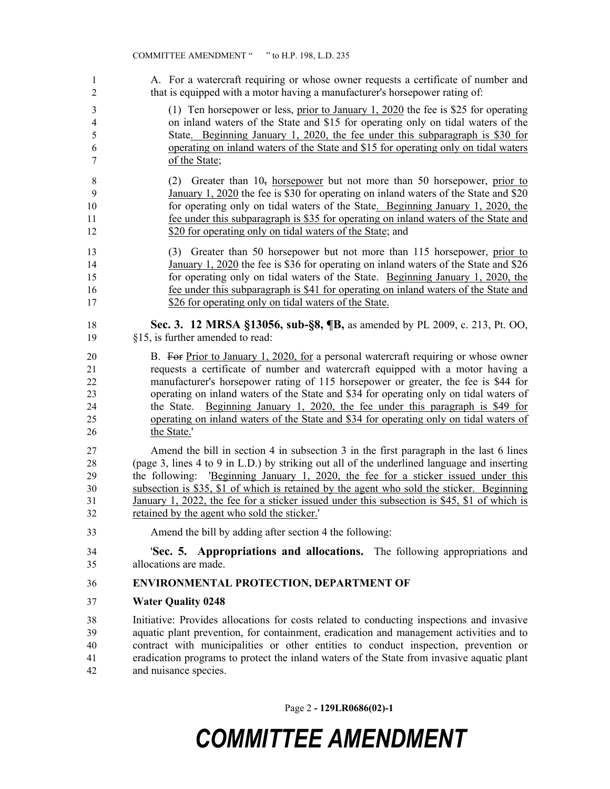A. For a watercraft requiring or whose owner requests a certificate of number and that is equipped with a motor having a manufacturer's horsepower rating of:

- (1) Ten horsepower or less, prior to January 1, 2020 the fee is \$25 for operating on inland waters of the State and \$15 for operating only on tidal waters of the State. Beginning January 1, 2020, the fee under this subparagraph is \$30 for operating on inland waters of the State and \$15 for operating only on tidal waters of the State;
- 8 (2) Greater than  $10<sub>5</sub>$  horsepower but not more than 50 horsepower, prior to January 1, 2020 the fee is \$30 for operating on inland waters of the State and \$20 for operating only on tidal waters of the State. Beginning January 1, 2020, the fee under this subparagraph is \$35 for operating on inland waters of the State and 12 \$20 for operating only on tidal waters of the State; and
- (3) Greater than 50 horsepower but not more than 115 horsepower, prior to January 1, 2020 the fee is \$36 for operating on inland waters of the State and \$26 for operating only on tidal waters of the State. Beginning January 1, 2020, the fee under this subparagraph is \$41 for operating on inland waters of the State and 17 \$26 for operating only on tidal waters of the State.
- **Sec. 3. 12 MRSA §13056, sub-§8, ¶B,** as amended by PL 2009, c. 213, Pt. OO, §15, is further amended to read:
- 20 B. For Prior to January 1, 2020, for a personal watercraft requiring or whose owner requests a certificate of number and watercraft equipped with a motor having a manufacturer's horsepower rating of 115 horsepower or greater, the fee is \$44 for operating on inland waters of the State and \$34 for operating only on tidal waters of the State. Beginning January 1, 2020, the fee under this paragraph is \$49 for operating on inland waters of the State and \$34 for operating only on tidal waters of the State.'

 Amend the bill in section 4 in subsection 3 in the first paragraph in the last 6 lines (page 3, lines 4 to 9 in L.D.) by striking out all of the underlined language and inserting the following: 'Beginning January 1, 2020, the fee for a sticker issued under this subsection is \$35, \$1 of which is retained by the agent who sold the sticker. Beginning January 1, 2022, the fee for a sticker issued under this subsection is \$45, \$1 of which is retained by the agent who sold the sticker.'

- Amend the bill by adding after section 4 the following:
- '**Sec. 5. Appropriations and allocations.** The following appropriations and allocations are made.

### **ENVIRONMENTAL PROTECTION, DEPARTMENT OF**

**Water Quality 0248**

 Initiative: Provides allocations for costs related to conducting inspections and invasive aquatic plant prevention, for containment, eradication and management activities and to contract with municipalities or other entities to conduct inspection, prevention or eradication programs to protect the inland waters of the State from invasive aquatic plant and nuisance species.

Page 2 **- 129LR0686(02)-1**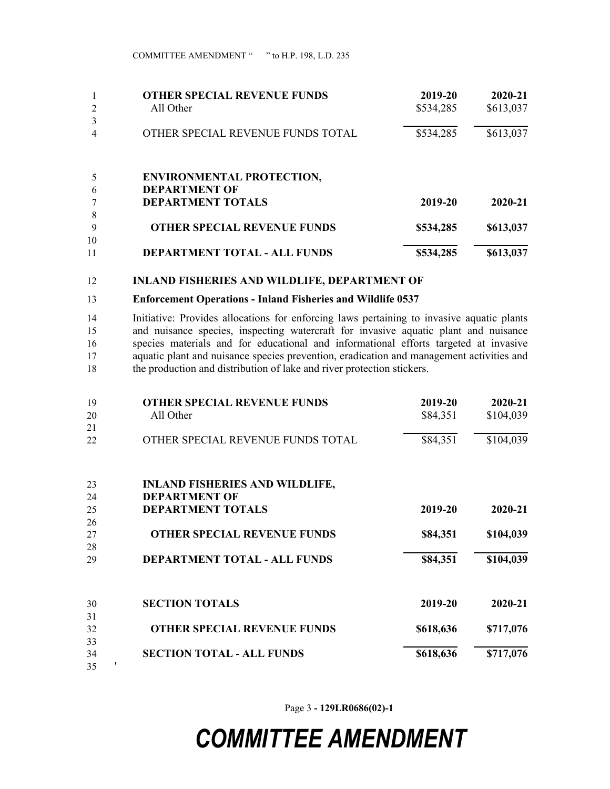|    | <b>OTHER SPECIAL REVENUE FUNDS</b>  | 2019-20   | 2020-21   |
|----|-------------------------------------|-----------|-----------|
| 2  | All Other                           | \$534,285 | \$613,037 |
| 3  |                                     |           |           |
|    | OTHER SPECIAL REVENUE FUNDS TOTAL   | \$534,285 | \$613,037 |
|    | <b>ENVIRONMENTAL PROTECTION,</b>    |           |           |
| 6  | <b>DEPARTMENT OF</b>                |           |           |
|    | <b>DEPARTMENT TOTALS</b>            | 2019-20   | 2020-21   |
| 8  |                                     |           |           |
| 9  | <b>OTHER SPECIAL REVENUE FUNDS</b>  | \$534,285 | \$613,037 |
| 10 |                                     |           |           |
| 11 | <b>DEPARTMENT TOTAL - ALL FUNDS</b> | \$534,285 | \$613,037 |

#### **INLAND FISHERIES AND WILDLIFE, DEPARTMENT OF**

#### **Enforcement Operations - Inland Fisheries and Wildlife 0537**

 Initiative: Provides allocations for enforcing laws pertaining to invasive aquatic plants and nuisance species, inspecting watercraft for invasive aquatic plant and nuisance species materials and for educational and informational efforts targeted at invasive aquatic plant and nuisance species prevention, eradication and management activities and the production and distribution of lake and river protection stickers.

| 19 | <b>OTHER SPECIAL REVENUE FUNDS</b>    | 2019-20   | 2020-21   |
|----|---------------------------------------|-----------|-----------|
| 20 | All Other                             | \$84,351  | \$104,039 |
| 21 |                                       |           |           |
| 22 | OTHER SPECIAL REVENUE FUNDS TOTAL     | \$84,351  | \$104,039 |
| 23 | <b>INLAND FISHERIES AND WILDLIFE,</b> |           |           |
| 24 | <b>DEPARTMENT OF</b>                  |           |           |
| 25 | <b>DEPARTMENT TOTALS</b>              | 2019-20   | 2020-21   |
| 26 |                                       |           |           |
| 27 | <b>OTHER SPECIAL REVENUE FUNDS</b>    | \$84,351  | \$104,039 |
| 28 |                                       |           |           |
| 29 | DEPARTMENT TOTAL - ALL FUNDS          | \$84,351  | \$104,039 |
| 30 | <b>SECTION TOTALS</b>                 | 2019-20   | 2020-21   |
| 31 |                                       |           |           |
| 32 | <b>OTHER SPECIAL REVENUE FUNDS</b>    | \$618,636 | \$717,076 |
| 33 |                                       |           |           |
| 34 | <b>SECTION TOTAL - ALL FUNDS</b>      | \$618,636 | \$717,076 |
| 35 |                                       |           |           |

Page 3 **- 129LR0686(02)-1**